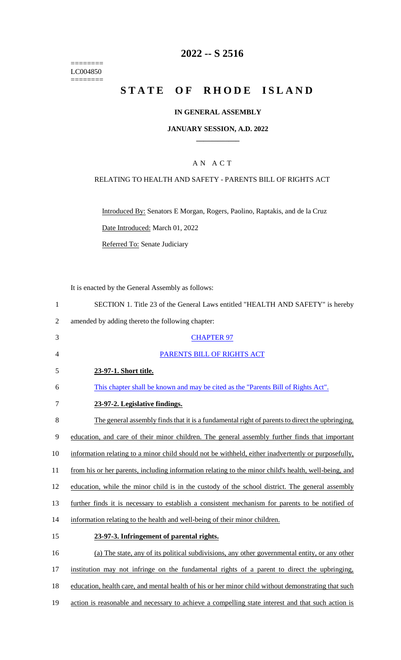======== LC004850 ========

# **2022 -- S 2516**

# **STATE OF RHODE ISLAND**

### **IN GENERAL ASSEMBLY**

#### **JANUARY SESSION, A.D. 2022 \_\_\_\_\_\_\_\_\_\_\_\_**

### A N A C T

#### RELATING TO HEALTH AND SAFETY - PARENTS BILL OF RIGHTS ACT

Introduced By: Senators E Morgan, Rogers, Paolino, Raptakis, and de la Cruz Date Introduced: March 01, 2022

Referred To: Senate Judiciary

It is enacted by the General Assembly as follows:

|   | SECTION 1. Title 23 of the General Laws entitled "HEALTH AND SAFETY" is hereby |
|---|--------------------------------------------------------------------------------|
|   | amended by adding thereto the following chapter:                               |
|   | <b>CHAPTER 97</b>                                                              |
| 4 | PARENTS BILL OF RIGHTS ACT                                                     |

- 5 **23-97-1. Short title.**
- 6 This chapter shall be known and may be cited as the "Parents Bill of Rights Act".
- 7 **23-97-2. Legislative findings.**

 The general assembly finds that it is a fundamental right of parents to direct the upbringing, education, and care of their minor children. The general assembly further finds that important information relating to a minor child should not be withheld, either inadvertently or purposefully, from his or her parents, including information relating to the minor child's health, well-being, and 12 education, while the minor child is in the custody of the school district. The general assembly further finds it is necessary to establish a consistent mechanism for parents to be notified of information relating to the health and well-being of their minor children. **23-97-3. Infringement of parental rights.**  (a) The state, any of its political subdivisions, any other governmental entity, or any other

17 institution may not infringe on the fundamental rights of a parent to direct the upbringing,

- 18 education, health care, and mental health of his or her minor child without demonstrating that such
- 19 action is reasonable and necessary to achieve a compelling state interest and that such action is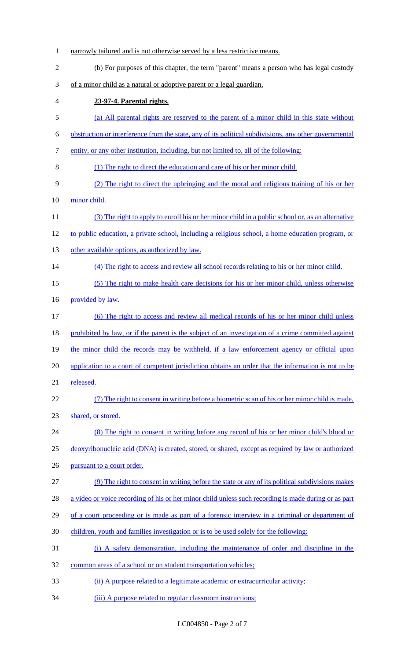narrowly tailored and is not otherwise served by a less restrictive means. (b) For purposes of this chapter, the term "parent" means a person who has legal custody of a minor child as a natural or adoptive parent or a legal guardian. **23-97-4. Parental rights.** (a) All parental rights are reserved to the parent of a minor child in this state without obstruction or interference from the state, any of its political subdivisions, any other governmental entity, or any other institution, including, but not limited to, all of the following: (1) The right to direct the education and care of his or her minor child. (2) The right to direct the upbringing and the moral and religious training of his or her minor child. (3) The right to apply to enroll his or her minor child in a public school or, as an alternative to public education, a private school, including a religious school, a home education program, or 13 other available options, as authorized by law. 14 (4) The right to access and review all school records relating to his or her minor child. (5) The right to make health care decisions for his or her minor child, unless otherwise provided by law. (6) The right to access and review all medical records of his or her minor child unless 18 prohibited by law, or if the parent is the subject of an investigation of a crime committed against the minor child the records may be withheld, if a law enforcement agency or official upon application to a court of competent jurisdiction obtains an order that the information is not to be released. (7) The right to consent in writing before a biometric scan of his or her minor child is made, shared, or stored. (8) The right to consent in writing before any record of his or her minor child's blood or deoxyribonucleic acid (DNA) is created, stored, or shared, except as required by law or authorized 26 pursuant to a court order. (9) The right to consent in writing before the state or any of its political subdivisions makes a video or voice recording of his or her minor child unless such recording is made during or as part of a court proceeding or is made as part of a forensic interview in a criminal or department of children, youth and families investigation or is to be used solely for the following: (i) A safety demonstration, including the maintenance of order and discipline in the common areas of a school or on student transportation vehicles; (ii) A purpose related to a legitimate academic or extracurricular activity; 34 (iii) A purpose related to regular classroom instructions;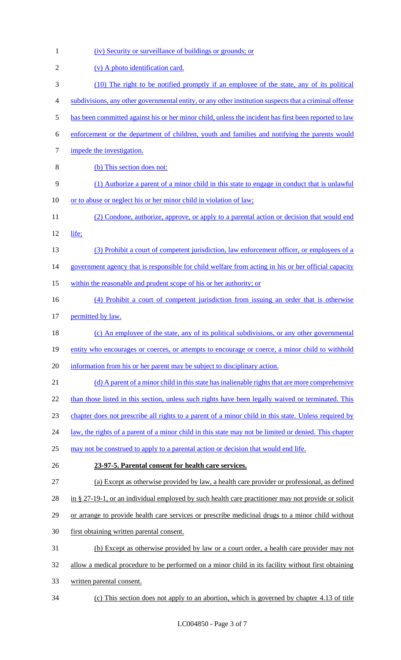| $\mathbf{1}$   | (iv) Security or surveillance of buildings or grounds; or                                                    |
|----------------|--------------------------------------------------------------------------------------------------------------|
| $\overline{2}$ | (v) A photo identification card.                                                                             |
| 3              | (10) The right to be notified promptly if an employee of the state, any of its political                     |
| 4              | subdivisions, any other governmental entity, or any other institution suspects that a criminal offense       |
| 5              | has been committed against his or her minor child, unless the incident has first been reported to law        |
| 6              | enforcement or the department of children, youth and families and notifying the parents would                |
| 7              | impede the investigation.                                                                                    |
| 8              | (b) This section does not:                                                                                   |
| 9              | (1) Authorize a parent of a minor child in this state to engage in conduct that is unlawful                  |
| 10             | or to abuse or neglect his or her minor child in violation of law;                                           |
| 11             | (2) Condone, authorize, approve, or apply to a parental action or decision that would end                    |
| 12             | life;                                                                                                        |
| 13             | (3) Prohibit a court of competent jurisdiction, law enforcement officer, or employees of a                   |
| 14             | government agency that is responsible for child welfare from acting in his or her official capacity          |
| 15             | within the reasonable and prudent scope of his or her authority; or                                          |
| 16             | (4) Prohibit a court of competent jurisdiction from issuing an order that is otherwise                       |
| 17             | permitted by law.                                                                                            |
| 18             | (c) An employee of the state, any of its political subdivisions, or any other governmental                   |
| 19             | entity who encourages or coerces, or attempts to encourage or coerce, a minor child to withhold              |
| 20             | information from his or her parent may be subject to disciplinary action.                                    |
| 21             | (d) A parent of a minor child in this state has inalienable rights that are more comprehensive               |
| 22             | than those listed in this section, unless such rights have been legally waived or terminated. This           |
| 23             | chapter does not prescribe all rights to a parent of a minor child in this state. Unless required by         |
| 24             | <u>law, the rights of a parent of a minor child in this state may not be limited or denied. This chapter</u> |
| 25             | may not be construed to apply to a parental action or decision that would end life.                          |
| 26             | 23-97-5. Parental consent for health care services.                                                          |
| 27             | (a) Except as otherwise provided by law, a health care provider or professional, as defined                  |
| 28             | in § 27-19-1, or an individual employed by such health care practitioner may not provide or solicit          |
| 29             | or arrange to provide health care services or prescribe medicinal drugs to a minor child without             |
| 30             | first obtaining written parental consent.                                                                    |
| 31             | (b) Except as otherwise provided by law or a court order, a health care provider may not                     |
| 32             | allow a medical procedure to be performed on a minor child in its facility without first obtaining           |
| 33             | written parental consent.                                                                                    |
| 34             | This section does not apply to an abortion, which is governed by chapter 4.13 of title                       |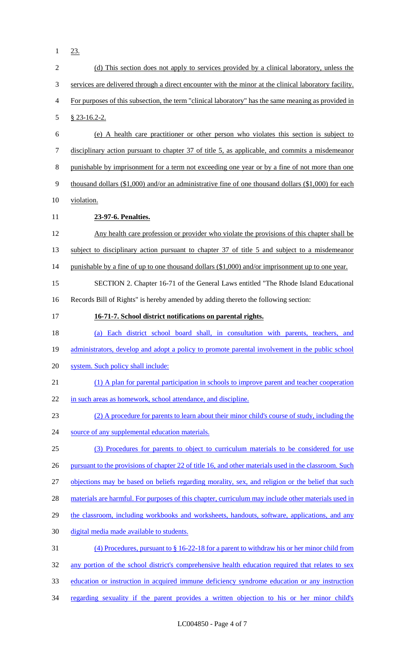1 23.

| $\mathbf{2}$             | (d) This section does not apply to services provided by a clinical laboratory, unless the               |
|--------------------------|---------------------------------------------------------------------------------------------------------|
| 3                        | services are delivered through a direct encounter with the minor at the clinical laboratory facility.   |
| $\overline{\mathcal{A}}$ | For purposes of this subsection, the term "clinical laboratory" has the same meaning as provided in     |
| 5                        | $$23-16.2-2.$                                                                                           |
| 6                        | (e) A health care practitioner or other person who violates this section is subject to                  |
| 7                        | disciplinary action pursuant to chapter 37 of title 5, as applicable, and commits a misdemeanor         |
| $8\,$                    | punishable by imprisonment for a term not exceeding one year or by a fine of not more than one          |
| $\mathbf{9}$             | thousand dollars $(\$1,000)$ and/or an administrative fine of one thousand dollars $(\$1,000)$ for each |
| 10                       | violation.                                                                                              |
| 11                       | 23-97-6. Penalties.                                                                                     |
| 12                       | Any health care profession or provider who violate the provisions of this chapter shall be              |
| 13                       | subject to disciplinary action pursuant to chapter 37 of title 5 and subject to a misdemeanor           |
| 14                       | punishable by a fine of up to one thousand dollars (\$1,000) and/or imprisonment up to one year.        |
| 15                       | SECTION 2. Chapter 16-71 of the General Laws entitled "The Rhode Island Educational                     |
| 16                       | Records Bill of Rights" is hereby amended by adding thereto the following section:                      |
| 17                       | 16-71-7. School district notifications on parental rights.                                              |
| 18                       | (a) Each district school board shall, in consultation with parents, teachers, and                       |
| 19                       | administrators, develop and adopt a policy to promote parental involvement in the public school         |
| 20                       | system. Such policy shall include:                                                                      |
| 21                       | (1) A plan for parental participation in schools to improve parent and teacher cooperation              |
| 22                       | in such areas as homework, school attendance, and discipline.                                           |
| 23                       | (2) A procedure for parents to learn about their minor child's course of study, including the           |
| 24                       | source of any supplemental education materials.                                                         |
| 25                       | (3) Procedures for parents to object to curriculum materials to be considered for use                   |
| 26                       | pursuant to the provisions of chapter 22 of title 16, and other materials used in the classroom. Such   |
| 27                       | objections may be based on beliefs regarding morality, sex, and religion or the belief that such        |
| 28                       | materials are harmful. For purposes of this chapter, curriculum may include other materials used in     |
| 29                       | the classroom, including workbooks and worksheets, handouts, software, applications, and any            |
| 30                       | digital media made available to students.                                                               |
| 31                       | $(4)$ Procedures, pursuant to § 16-22-18 for a parent to withdraw his or her minor child from           |
| 32                       |                                                                                                         |
|                          | any portion of the school district's comprehensive health education required that relates to sex        |
| 33                       | education or instruction in acquired immune deficiency syndrome education or any instruction            |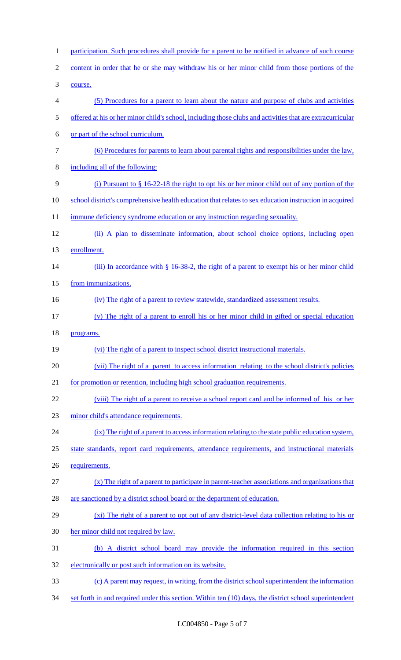| $\mathbf{1}$   | participation. Such procedures shall provide for a parent to be notified in advance of such course        |
|----------------|-----------------------------------------------------------------------------------------------------------|
| $\overline{2}$ | content in order that he or she may withdraw his or her minor child from those portions of the            |
| 3              | course.                                                                                                   |
| 4              | (5) Procedures for a parent to learn about the nature and purpose of clubs and activities                 |
| 5              | offered at his or her minor child's school, including those clubs and activities that are extracurricular |
| 6              | or part of the school curriculum.                                                                         |
| 7              | (6) Procedures for parents to learn about parental rights and responsibilities under the law,             |
| 8              | including all of the following:                                                                           |
| 9              | (i) Pursuant to $\S$ 16-22-18 the right to opt his or her minor child out of any portion of the           |
| 10             | school district's comprehensive health education that relates to sex education instruction in acquired    |
| 11             | immune deficiency syndrome education or any instruction regarding sexuality.                              |
| 12             | (ii) A plan to disseminate information, about school choice options, including open                       |
| 13             | enrollment.                                                                                               |
| 14             | (iii) In accordance with $\S$ 16-38-2, the right of a parent to exempt his or her minor child             |
| 15             | from immunizations.                                                                                       |
| 16             | (iv) The right of a parent to review statewide, standardized assessment results.                          |
| 17             | (v) The right of a parent to enroll his or her minor child in gifted or special education                 |
| 18             | programs.                                                                                                 |
| 19             | (vi) The right of a parent to inspect school district instructional materials.                            |
| 20             | (vii) The right of a parent to access information relating to the school district's policies              |
| 21             | for promotion or retention, including high school graduation requirements.                                |
| 22             | (viii) The right of a parent to receive a school report card and be informed of his or her                |
| 23             | minor child's attendance requirements.                                                                    |
| 24             | (ix) The right of a parent to access information relating to the state public education system,           |
| 25             | state standards, report card requirements, attendance requirements, and instructional materials           |
| 26             | requirements.                                                                                             |
| 27             | $(x)$ The right of a parent to participate in parent-teacher associations and organizations that          |
| 28             | are sanctioned by a district school board or the department of education.                                 |
| 29             | (xi) The right of a parent to opt out of any district-level data collection relating to his or            |
| 30             | her minor child not required by law.                                                                      |
| 31             | (b) A district school board may provide the information required in this section                          |
| 32             | electronically or post such information on its website.                                                   |
| 33             | (c) A parent may request, in writing, from the district school superintendent the information             |
| 34             | set forth in and required under this section. Within ten (10) days, the district school superintendent    |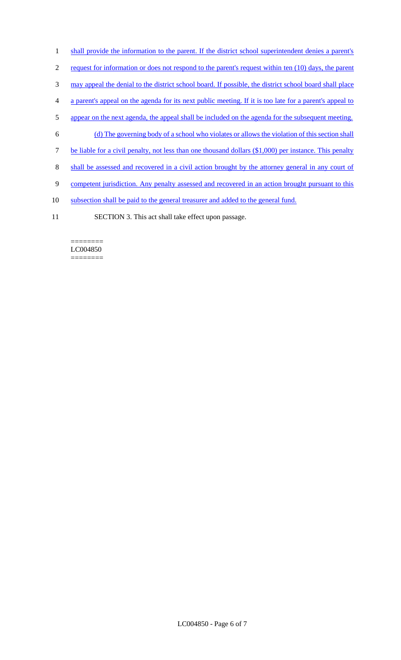- 1 shall provide the information to the parent. If the district school superintendent denies a parent's
- 2 request for information or does not respond to the parent's request within ten (10) days, the parent
- 3 may appeal the denial to the district school board. If possible, the district school board shall place
- 4 a parent's appeal on the agenda for its next public meeting. If it is too late for a parent's appeal to
- 5 appear on the next agenda, the appeal shall be included on the agenda for the subsequent meeting.
- 6 (d) The governing body of a school who violates or allows the violation of this section shall
- 7 be liable for a civil penalty, not less than one thousand dollars (\$1,000) per instance. This penalty
- 8 shall be assessed and recovered in a civil action brought by the attorney general in any court of
- 9 competent jurisdiction. Any penalty assessed and recovered in an action brought pursuant to this
- 10 subsection shall be paid to the general treasurer and added to the general fund.
- 11 SECTION 3. This act shall take effect upon passage.

#### ======== LC004850 ========